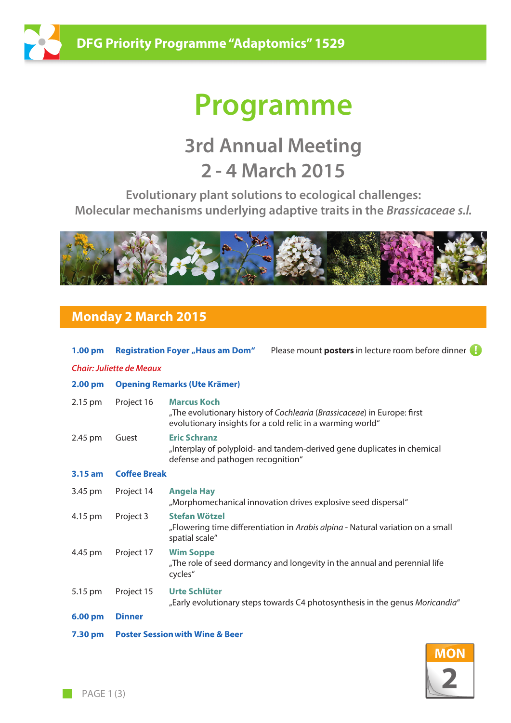

# **Programme**

## **3rd Annual Meeting 2 - 4 March 2015**

**Evolutionary plant solutions to ecological challenges: Molecular mechanisms underlying adaptive traits in the** *Brassicaceae s.l.*



## **Monday 2 March 2015**

| $1.00 \text{ pm}$               |                                            |                                                          | <b>Registration Foyer "Haus am Dom"</b> Please mount posters in lecture room before dinner                                            |  |  |
|---------------------------------|--------------------------------------------|----------------------------------------------------------|---------------------------------------------------------------------------------------------------------------------------------------|--|--|
| <b>Chair: Juliette de Meaux</b> |                                            |                                                          |                                                                                                                                       |  |  |
| 2.00 <sub>pm</sub>              | <b>Opening Remarks (Ute Krämer)</b>        |                                                          |                                                                                                                                       |  |  |
| 2.15 pm                         | Project 16                                 | <b>Marcus Koch</b>                                       | "The evolutionary history of Cochlearia (Brassicaceae) in Europe: first<br>evolutionary insights for a cold relic in a warming world" |  |  |
| 2.45 pm                         | Guest                                      | <b>Eric Schranz</b><br>defense and pathogen recognition" | "Interplay of polyploid- and tandem-derived gene duplicates in chemical                                                               |  |  |
| $3.15$ am                       | <b>Coffee Break</b>                        |                                                          |                                                                                                                                       |  |  |
| 3.45 pm                         | Project 14                                 | <b>Angela Hay</b>                                        | "Morphomechanical innovation drives explosive seed dispersal"                                                                         |  |  |
| 4.15 pm                         | Project 3                                  | <b>Stefan Wötzel</b><br>spatial scale"                   | "Flowering time differentiation in Arabis alpina - Natural variation on a small                                                       |  |  |
| 4.45 pm                         | Project 17                                 | <b>Wim Soppe</b><br>cycles"                              | "The role of seed dormancy and longevity in the annual and perennial life                                                             |  |  |
| 5.15 pm                         | Project 15                                 | Urte Schlüter                                            | "Early evolutionary steps towards C4 photosynthesis in the genus Moricandia"                                                          |  |  |
| 6.00 pm                         | <b>Dinner</b>                              |                                                          |                                                                                                                                       |  |  |
| 7.30 pm                         | <b>Poster Session with Wine &amp; Beer</b> |                                                          |                                                                                                                                       |  |  |

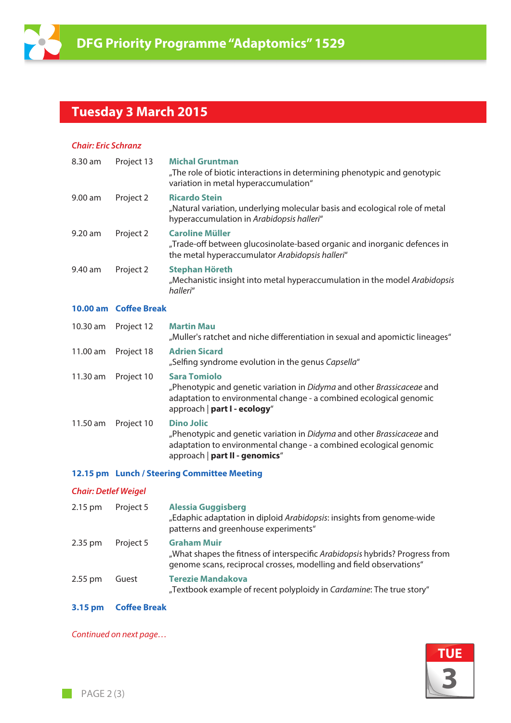

## **Tuesday 3 March 2015**

#### *Chair: Eric Schranz*

| 8.30 am   | Project 13            | <b>Michal Gruntman</b><br>"The role of biotic interactions in determining phenotypic and genotypic<br>variation in metal hyperaccumulation"                                                         |
|-----------|-----------------------|-----------------------------------------------------------------------------------------------------------------------------------------------------------------------------------------------------|
| $9.00$ am | Project 2             | <b>Ricardo Stein</b><br>"Natural variation, underlying molecular basis and ecological role of metal<br>hyperaccumulation in Arabidopsis halleri"                                                    |
| $9.20$ am | Project 2             | <b>Caroline Müller</b><br>"Trade-off between glucosinolate-based organic and inorganic defences in<br>the metal hyperaccumulator Arabidopsis halleri"                                               |
| 9.40 am   | Project 2             | <b>Stephan Höreth</b><br>"Mechanistic insight into metal hyperaccumulation in the model Arabidopsis<br>halleri"                                                                                     |
|           |                       |                                                                                                                                                                                                     |
|           | 10.00 am Coffee Break |                                                                                                                                                                                                     |
| 10.30 am  | Project 12            | <b>Martin Mau</b><br>"Muller's ratchet and niche differentiation in sexual and apomictic lineages"                                                                                                  |
| 11.00 am  | Project 18            | <b>Adrien Sicard</b><br>"Selfing syndrome evolution in the genus Capsella"                                                                                                                          |
| 11.30 am  | Project 10            | <b>Sara Tomiolo</b><br>"Phenotypic and genetic variation in Didyma and other Brassicaceae and<br>adaptation to environmental change - a combined ecological genomic<br>approach   part I - ecology" |

 "Phenotypic and genetic variation in *Didyma* and other *Brassicaceae* and adaptation to environmental change - a combined ecological genomic approach | **part II - genomics**"

#### **12.15 pm Lunch / Steering Committee Meeting**

#### *Chair: Detlef Weigel*

| 2.15 pm   | Project 5 | <b>Alessia Guggisberg</b><br>"Edaphic adaptation in diploid Arabidopsis: insights from genome-wide<br>patterns and greenhouse experiments"                                |
|-----------|-----------|---------------------------------------------------------------------------------------------------------------------------------------------------------------------------|
| $2.35$ pm | Project 5 | <b>Graham Muir</b><br>"What shapes the fitness of interspecific Arabidopsis hybrids? Progress from<br>genome scans, reciprocal crosses, modelling and field observations" |
| $2.55$ pm | Guest     | <b>Terezie Mandakova</b><br>"Textbook example of recent polyploidy in Cardamine: The true story"                                                                          |

#### **3.15 pm Coffee Break**

*Continued on next page…*